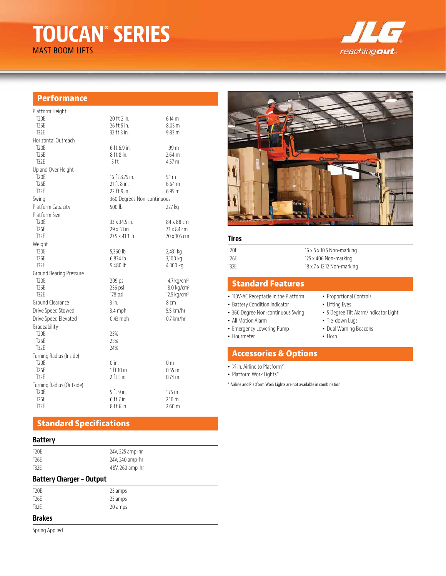# **TOUCAN® SERIES**

MAST BOOM LIFTS



## **Performance**

| Platform Height          |                            |                         |  |
|--------------------------|----------------------------|-------------------------|--|
| T <sub>20</sub> E        | 20 ft 2 in.                | 6.14 m                  |  |
| T <sub>26</sub> E        | 26 ft 5 in.                | 8.05 <sub>m</sub>       |  |
| T32F                     | 32 ft 3 in.                | 9.83 m                  |  |
| Horizontal Outreach      |                            |                         |  |
| T <sub>20</sub> E        | 6 ft 6.9 in.               | 1.99 <sub>m</sub>       |  |
| T <sub>26</sub> E        | 8 ft 8 in.                 | $2.64$ m                |  |
| T32F                     | $15$ ft                    | 4.57 <sub>m</sub>       |  |
| Up and Over Height       |                            |                         |  |
| T <sub>20</sub> E        | 16 ft 8.75 in.             | 5.1 <sub>m</sub>        |  |
| T <sub>26</sub> F        | 21 ft 8 in.                | 6.64 m                  |  |
| T32E                     | 22 ft 9 in.                | 6.95 m                  |  |
| Swing                    | 360 Degrees Non-continuous |                         |  |
| Platform Capacity        | 500 lb                     | 227 kg                  |  |
| Platform Size            |                            |                         |  |
| T <sub>20</sub> F        | 33 x 34.5 in.              | 84 x 88 cm              |  |
| T <sub>26</sub> E        | 29 x 33 in.                | 73 x 84 cm              |  |
| T32E                     | 27.5 x 41.3 in.            | 70 x 105 cm             |  |
| Weight                   |                            |                         |  |
| T <sub>20</sub> F        | 5,360 lb                   | 2,431 kg                |  |
| T <sub>26</sub> E        | 6,834 lb                   | 3,100 kg                |  |
| T32E                     | 9,480 lb                   | 4,300 kg                |  |
| Ground Bearing Pressure  |                            |                         |  |
| T <sub>20</sub> E        | 209 psi                    | 14.7 kg/cm <sup>2</sup> |  |
| T <sub>26</sub> F        | 256 psi                    | $18.0 \text{ kg/cm}^2$  |  |
| T32E                     | 178 psi                    | $12.5 \text{ kg/cm}^2$  |  |
| Ground Clearance         | 3 in.                      | 8 <sub>cm</sub>         |  |
| Drive Speed Stowed       | $3.4$ mph                  | 5.5 km/hr               |  |
| Drive Speed Elevated     | $0.43$ mph                 | $0.7$ km/hr             |  |
| Gradeability             |                            |                         |  |
| T <sub>20</sub> E        | 25%                        |                         |  |
| T <sub>26</sub> E        | 25%                        |                         |  |
| T32F                     | 24%                        |                         |  |
| Turning Radius (Inside)  |                            |                         |  |
| T <sub>20</sub> F        | 0 in.                      | 0 <sub>m</sub>          |  |
| T <sub>26</sub> E        | 1 ft 10 in.                | 0.55 m                  |  |
| T32E                     | $2$ ft 5 in.               | $0.74 \text{ m}$        |  |
| Turning Radius (Outside) |                            |                         |  |
| T <sub>20</sub> E        | 5 ft 9 in.                 | 1.75 <sub>m</sub>       |  |
| T <sub>26</sub> E        | $6$ ft 7 in.               | $2.10 \text{ m}$        |  |
| T32F                     | 8 ft 6 in.                 | 2.60 <sub>m</sub>       |  |

# **Standard Specifications**

24V, 225 amp-hr 24V, 240 amp-hr 48V, 260 amp-hr

#### **Battery**

| T20E |  |  |  |
|------|--|--|--|
| T26E |  |  |  |
| T32E |  |  |  |

## **Battery Charger – Output**

| 25 amps |
|---------|
| 25 amps |
| 20 amps |
|         |

## **Brakes**

Spring Applied



## **Tires**

| T20F | $16 \times 5 \times 10.5$ Non-marking |
|------|---------------------------------------|
| T26F | 125 x 406 Non-marking                 |
| T32F | 18 x 7 x 12.12 Non-marking            |

## **Standard Features**

- 110V-AC Receptacle in the Platform
- Battery Condition Indicator
- 360 Degree Non-continuous Swing
- All Motion Alarm
- Emergency Lowering Pump • Hourmeter
- Dual Warning Beacons • Horn

• Tie-down Lugs

• Proportional Controls • Lifting Eyes

• 5 Degree Tilt Alarm/Indicator Light

# **Accessories & Options**

- ½ in. Airline to Platform\*
- Platform Work Lights\*

\* Airline and Platform Work Lights are not available in combination.